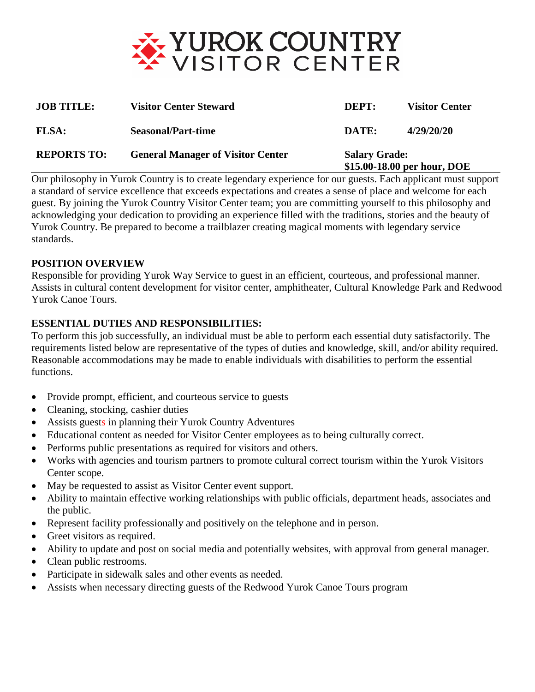

| <b>JOB TITLE:</b>  | <b>Visitor Center Steward</b>            | DEPT:                                               | <b>Visitor Center</b> |
|--------------------|------------------------------------------|-----------------------------------------------------|-----------------------|
| <b>FLSA:</b>       | <b>Seasonal/Part-time</b>                | DATE:                                               | 4/29/20/20            |
| <b>REPORTS TO:</b> | <b>General Manager of Visitor Center</b> | <b>Salary Grade:</b><br>\$15.00-18.00 per hour, DOE |                       |

Our philosophy in Yurok Country is to create legendary experience for our guests. Each applicant must support a standard of service excellence that exceeds expectations and creates a sense of place and welcome for each guest. By joining the Yurok Country Visitor Center team; you are committing yourself to this philosophy and acknowledging your dedication to providing an experience filled with the traditions, stories and the beauty of Yurok Country. Be prepared to become a trailblazer creating magical moments with legendary service standards.

### **POSITION OVERVIEW**

Responsible for providing Yurok Way Service to guest in an efficient, courteous, and professional manner. Assists in cultural content development for visitor center, amphitheater, Cultural Knowledge Park and Redwood Yurok Canoe Tours.

### **ESSENTIAL DUTIES AND RESPONSIBILITIES:**

To perform this job successfully, an individual must be able to perform each essential duty satisfactorily. The requirements listed below are representative of the types of duties and knowledge, skill, and/or ability required. Reasonable accommodations may be made to enable individuals with disabilities to perform the essential functions.

- Provide prompt, efficient, and courteous service to guests
- Cleaning, stocking, cashier duties
- Assists guests in planning their Yurok Country Adventures
- Educational content as needed for Visitor Center employees as to being culturally correct.
- Performs public presentations as required for visitors and others.
- Works with agencies and tourism partners to promote cultural correct tourism within the Yurok Visitors Center scope.
- May be requested to assist as Visitor Center event support.
- Ability to maintain effective working relationships with public officials, department heads, associates and the public.
- Represent facility professionally and positively on the telephone and in person.
- Greet visitors as required.
- Ability to update and post on social media and potentially websites, with approval from general manager.
- Clean public restrooms.
- Participate in sidewalk sales and other events as needed.
- Assists when necessary directing guests of the Redwood Yurok Canoe Tours program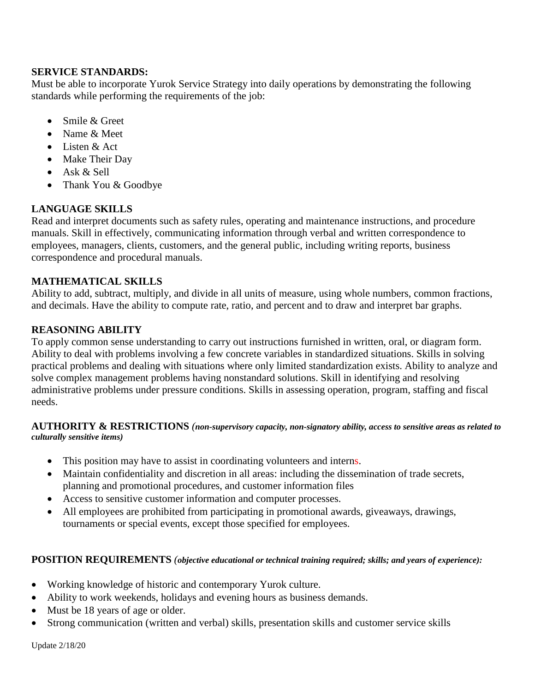# **SERVICE STANDARDS:**

Must be able to incorporate Yurok Service Strategy into daily operations by demonstrating the following standards while performing the requirements of the job:

- Smile & Greet
- Name & Meet
- Listen & Act
- Make Their Day
- Ask & Sell
- Thank You & Goodbye

# **LANGUAGE SKILLS**

Read and interpret documents such as safety rules, operating and maintenance instructions, and procedure manuals. Skill in effectively, communicating information through verbal and written correspondence to employees, managers, clients, customers, and the general public, including writing reports, business correspondence and procedural manuals.

# **MATHEMATICAL SKILLS**

Ability to add, subtract, multiply, and divide in all units of measure, using whole numbers, common fractions, and decimals. Have the ability to compute rate, ratio, and percent and to draw and interpret bar graphs.

# **REASONING ABILITY**

To apply common sense understanding to carry out instructions furnished in written, oral, or diagram form. Ability to deal with problems involving a few concrete variables in standardized situations. Skills in solving practical problems and dealing with situations where only limited standardization exists. Ability to analyze and solve complex management problems having nonstandard solutions. Skill in identifying and resolving administrative problems under pressure conditions. Skills in assessing operation, program, staffing and fiscal needs.

### **AUTHORITY & RESTRICTIONS** *(non-supervisory capacity, non-signatory ability, access to sensitive areas as related to culturally sensitive items)*

- This position may have to assist in coordinating volunteers and interns.
- Maintain confidentiality and discretion in all areas: including the dissemination of trade secrets, planning and promotional procedures, and customer information files
- Access to sensitive customer information and computer processes.
- All employees are prohibited from participating in promotional awards, giveaways, drawings, tournaments or special events, except those specified for employees.

# **POSITION REQUIREMENTS** *(objective educational or technical training required; skills; and years of experience):*

- Working knowledge of historic and contemporary Yurok culture.
- Ability to work weekends, holidays and evening hours as business demands.
- Must be 18 years of age or older.
- Strong communication (written and verbal) skills, presentation skills and customer service skills